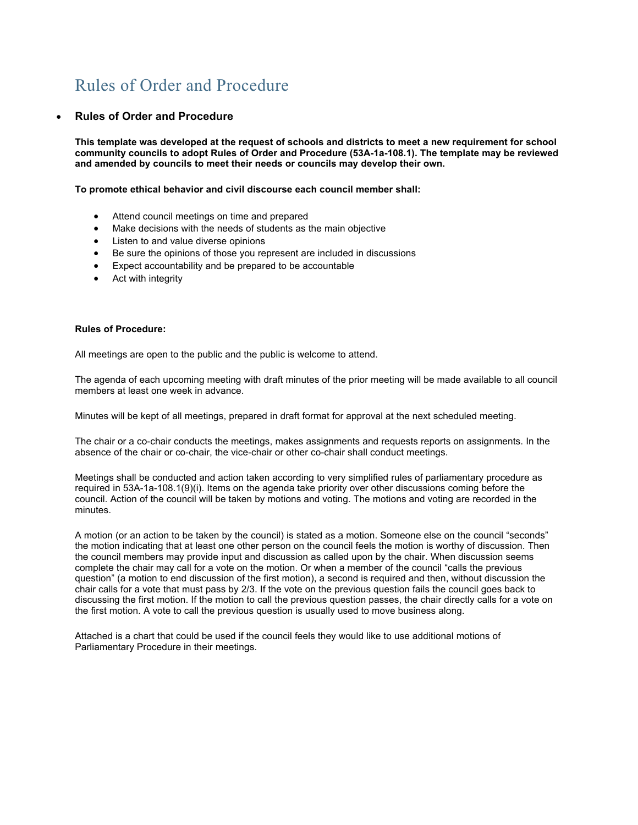## Rules of Order and Procedure

## • **Rules of Order and Procedure**

**This template was developed at the request of schools and districts to meet a new requirement for school community councils to adopt Rules of Order and Procedure (53A-1a-108.1). The template may be reviewed and amended by councils to meet their needs or councils may develop their own.**

**To promote ethical behavior and civil discourse each council member shall:**

- Attend council meetings on time and prepared
- Make decisions with the needs of students as the main objective
- Listen to and value diverse opinions
- Be sure the opinions of those you represent are included in discussions
- Expect accountability and be prepared to be accountable
- Act with integrity

## **Rules of Procedure:**

All meetings are open to the public and the public is welcome to attend.

The agenda of each upcoming meeting with draft minutes of the prior meeting will be made available to all council members at least one week in advance.

Minutes will be kept of all meetings, prepared in draft format for approval at the next scheduled meeting.

The chair or a co-chair conducts the meetings, makes assignments and requests reports on assignments. In the absence of the chair or co-chair, the vice-chair or other co-chair shall conduct meetings.

Meetings shall be conducted and action taken according to very simplified rules of parliamentary procedure as required in 53A-1a-108.1(9)(i). Items on the agenda take priority over other discussions coming before the council. Action of the council will be taken by motions and voting. The motions and voting are recorded in the minutes.

A motion (or an action to be taken by the council) is stated as a motion. Someone else on the council "seconds" the motion indicating that at least one other person on the council feels the motion is worthy of discussion. Then the council members may provide input and discussion as called upon by the chair. When discussion seems complete the chair may call for a vote on the motion. Or when a member of the council "calls the previous question" (a motion to end discussion of the first motion), a second is required and then, without discussion the chair calls for a vote that must pass by 2/3. If the vote on the previous question fails the council goes back to discussing the first motion. If the motion to call the previous question passes, the chair directly calls for a vote on the first motion. A vote to call the previous question is usually used to move business along.

Attached is a chart that could be used if the council feels they would like to use additional motions of Parliamentary Procedure in their meetings.